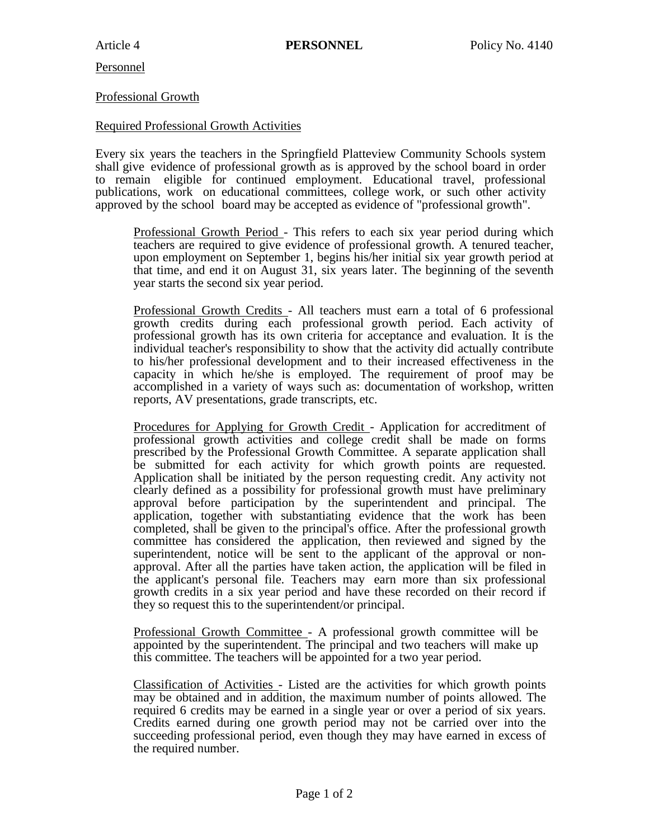Personnel

## Professional Growth

## Required Professional Growth Activities

Every six years the teachers in the Springfield Platteview Community Schools system shall give evidence of professional growth as is approved by the school board in order to remain eligible for continued employment. Educational travel, professional publications, work on educational committees, college work, or such other activity approved by the school board may be accepted as evidence of "professional growth".

Professional Growth Period - This refers to each six year period during which teachers are required to give evidence of professional growth. A tenured teacher, upon employment on September 1, begins his/her initial six year growth period at that time, and end it on August 31, six years later. The beginning of the seventh year starts the second six year period.

Professional Growth Credits - All teachers must earn a total of 6 professional growth credits during each professional growth period. Each activity of professional growth has its own criteria for acceptance and evaluation. It is the individual teacher's responsibility to show that the activity did actually contribute to his/her professional development and to their increased effectiveness in the capacity in which he/she is employed. The requirement of proof may be accomplished in a variety of ways such as: documentation of workshop, written reports, AV presentations, grade transcripts, etc.

Procedures for Applying for Growth Credit - Application for accreditment of professional growth activities and college credit shall be made on forms prescribed by the Professional Growth Committee. A separate application shall be submitted for each activity for which growth points are requested. Application shall be initiated by the person requesting credit. Any activity not clearly defined as a possibility for professional growth must have preliminary approval before participation by the superintendent and principal. The application, together with substantiating evidence that the work has been completed, shall be given to the principal's office. After the professional growth committee has considered the application, then reviewed and signed by the superintendent, notice will be sent to the applicant of the approval or nonapproval. After all the parties have taken action, the application will be filed in the applicant's personal file. Teachers may earn more than six professional growth credits in a six year period and have these recorded on their record if they so request this to the superintendent/or principal.

Professional Growth Committee - A professional growth committee will be appointed by the superintendent. The principal and two teachers will make up this committee. The teachers will be appointed for a two year period.

Classification of Activities - Listed are the activities for which growth points may be obtained and in addition, the maximum number of points allowed. The required 6 credits may be earned in a single year or over a period of six years. Credits earned during one growth period may not be carried over into the succeeding professional period, even though they may have earned in excess of the required number.